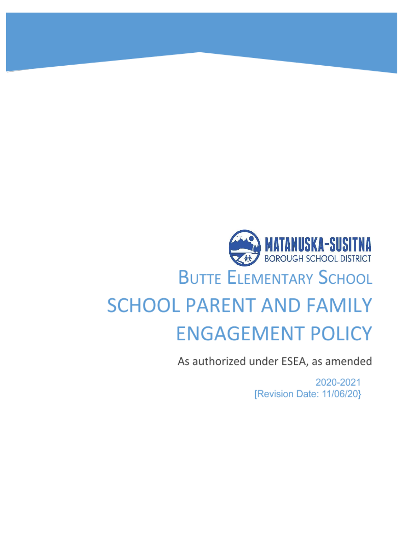# **MATANUSKA-SUSITNA**<br>Borough school district **BUTTE ELEMENTARY SCHOOL SCHOOL PARENT AND FAMILY ENGAGEMENT POLICY**

As authorized under ESEA, as amended

2020-2021 [Revision Date: 11/06/20}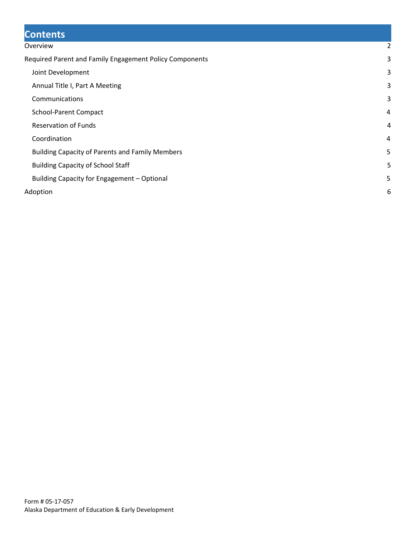# **Contents**

#### [Overview](#page-2-0) [2](#page-2-0)

| Required Parent and Family Engagement Policy Components | 3 |
|---------------------------------------------------------|---|
| Joint Development                                       | 3 |
| Annual Title I, Part A Meeting                          | 3 |
| Communications                                          | 3 |
| <b>School-Parent Compact</b>                            | 4 |
| <b>Reservation of Funds</b>                             | 4 |
| Coordination                                            | 4 |
| <b>Building Capacity of Parents and Family Members</b>  | 5 |
| <b>Building Capacity of School Staff</b>                | 5 |
| Building Capacity for Engagement - Optional             | 5 |
| Adoption                                                | 6 |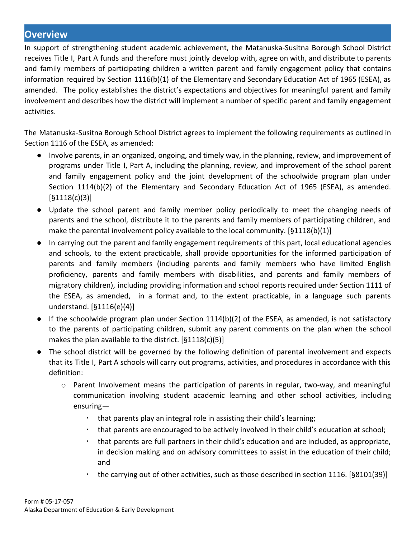## <span id="page-2-0"></span>**Overview**

In support of strengthening student academic achievement, the Matanuska-Susitna Borough School District receives Title I, Part A funds and therefore must jointly develop with, agree on with, and distribute to parents and family members of participating children a written parent and family engagement policy that contains information required by Section 1116(b)(1) of the Elementary and Secondary Education Act of 1965 (ESEA), as amended. The policy establishes the district's expectations and objectives for meaningful parent and family involvement and describes how the district will implement a number of specific parent and family engagement activities.

The Matanuska-Susitna Borough School District agrees to implement the following requirements as outlined in Section 1116 of the ESEA, as amended:

- Involve parents, in an organized, ongoing, and timely way, in the planning, review, and improvement of programs under Title I, Part A, including the planning, review, and improvement of the school parent and family engagement policy and the joint development of the schoolwide program plan under Section 1114(b)(2) of the Elementary and Secondary Education Act of 1965 (ESEA), as amended. [§1118(c)(3)]
- Update the school parent and family member policy periodically to meet the changing needs of parents and the school, distribute it to the parents and family members of participating children, and make the parental involvement policy available to the local community.  $[§1118(b)(1)]$
- In carrying out the parent and family engagement requirements of this part, local educational agencies and schools, to the extent practicable, shall provide opportunities for the informed participation of parents and family members (including parents and family members who have limited English proficiency, parents and family members with disabilities, and parents and family members of migratory children), including providing information and school reports required under Section 1111 of the ESEA, as amended, in a format and, to the extent practicable, in a language such parents understand. [§1116(e)(4)]
- If the schoolwide program plan under Section 1114(b)(2) of the ESEA, as amended, is not satisfactory to the parents of participating children, submit any parent comments on the plan when the school makes the plan available to the district. [§1118(c)(5)]
- The school district will be governed by the following definition of parental involvement and expects that its Title I, Part A schools will carry out programs, activities, and procedures in accordance with this definition:
	- $\circ$  Parent Involvement means the participation of parents in regular, two-way, and meaningful communication involving student academic learning and other school activities, including ensuring—
		- that parents play an integral role in assisting their child's learning;
		- that parents are encouraged to be actively involved in their child's education at school;
		- that parents are full partners in their child's education and are included, as appropriate, in decision making and on advisory committees to assist in the education of their child; and
		- the carrying out of other activities, such as those described in section 1116. [§8101(39)]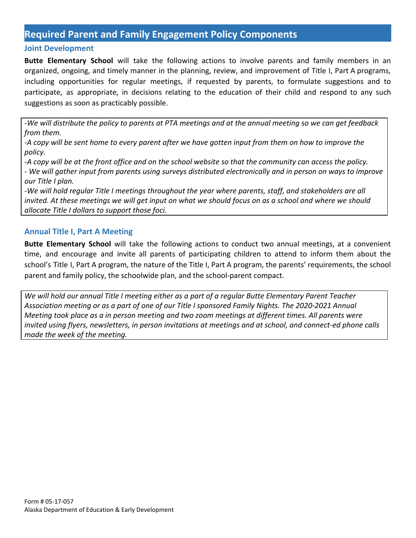## <span id="page-3-0"></span>**Required Parent and Family Engagement Policy Components**

#### <span id="page-3-1"></span>**Joint Development**

**Butte Elementary School** will take the following actions to involve parents and family members in an organized, ongoing, and timely manner in the planning, review, and improvement of Title I, Part A programs, including opportunities for regular meetings, if requested by parents, to formulate suggestions and to participate, as appropriate, in decisions relating to the education of their child and respond to any such suggestions as soon as practicably possible.

*-We will distribute the policy to parents at PTA meetings and at the annual meeting so we can get feedback from them.*

*-A copy will be sent home to every parent after we have gotten input from them on how to improve the policy.*

*-A copy will be at the front office and on the school website so that the community can access the policy.*

*- We will gather input from parents using surveys distributed electronically and in person on ways to improve our Title I plan.*

*-We will hold regular Title I meetings throughout the year where parents, staff, and stakeholders are all invited. At these meetings we will get input on what we should focus on as a school and where we should allocate Title I dollars to support those foci.*

#### <span id="page-3-2"></span>**Annual Title I, Part A Meeting**

**Butte Elementary School** will take the following actions to conduct two annual meetings, at a convenient time, and encourage and invite all parents of participating children to attend to inform them about the school's Title I, Part A program, the nature of the Title I, Part A program, the parents' requirements, the school parent and family policy, the schoolwide plan, and the school-parent compact.

*We will hold our annual Title I meeting either as a part of a regular Butte Elementary Parent Teacher Association meeting or as a part of one of our Title I sponsored Family Nights. The 2020-2021 Annual Meeting took place as a in person meeting and two zoom meetings at different times. All parents were invited using flyers, newsletters, in person invitations at meetings and at school, and connect-ed phone calls made the week of the meeting.*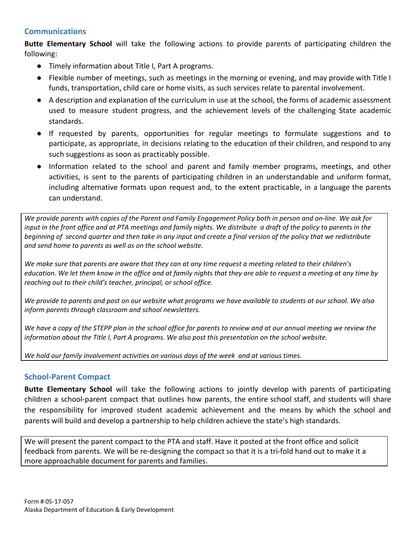#### <span id="page-4-0"></span>**Communications**

**Butte Elementary School** will take the following actions to provide parents of participating children the following:

- Timely information about Title I, Part A programs.
- Flexible number of meetings, such as meetings in the morning or evening, and may provide with Title I funds, transportation, child care or home visits, as such services relate to parental involvement.
- A description and explanation of the curriculum in use at the school, the forms of academic assessment used to measure student progress, and the achievement levels of the challenging State academic standards.
- If requested by parents, opportunities for regular meetings to formulate suggestions and to participate, as appropriate, in decisions relating to the education of their children, and respond to any such suggestions as soon as practicably possible.
- Information related to the school and parent and family member programs, meetings, and other activities, is sent to the parents of participating children in an understandable and uniform format, including alternative formats upon request and, to the extent practicable, in a language the parents can understand.

We provide parents with copies of the Parent and Family Engagement Policy both in person and on-line. We ask for input in the front office and at PTA meetings and family nights. We distribute a draft of the policy to parents in the beginning of second quarter and then take in any input and create a final version of the policy that we redistribute *and send home to parents as well as on the school website.*

We make sure that parents are aware that they can at any time request a meeting related to their children's education. We let them know in the office and at family nights that they are able to request a meeting at any time by *reaching out to their child's teacher, principal, or school office.*

We provide to parents and post on our website what programs we have available to students at our school. We also *inform parents through classroom and school newsletters.*

We have a copy of the STEPP plan in the school office for parents to review and at our annual meeting we review the *information about the Title I, Part A programs. We also post this presentation on the school website.*

*We hold our family involvement activities on various days of the week and at various times.*

#### <span id="page-4-1"></span>**School-Parent Compact**

**Butte Elementary School** will take the following actions to jointly develop with parents of participating children a school-parent compact that outlines how parents, the entire school staff, and students will share the responsibility for improved student academic achievement and the means by which the school and parents will build and develop a partnership to help children achieve the state's high standards.

We will present the parent compact to the PTA and staff. Have it posted at the front office and solicit feedback from parents. We will be re-designing the compact so that it is a tri-fold hand out to make it a more approachable document for parents and families.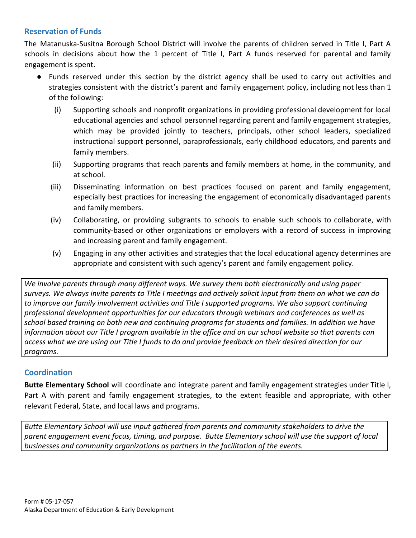### <span id="page-5-0"></span>**Reservation of Funds**

The Matanuska-Susitna Borough School District will involve the parents of children served in Title I, Part A schools in decisions about how the 1 percent of Title I, Part A funds reserved for parental and family engagement is spent.

- Funds reserved under this section by the district agency shall be used to carry out activities and strategies consistent with the district's parent and family engagement policy, including not less than 1 of the following:
	- (i) Supporting schools and nonprofit organizations in providing professional development for local educational agencies and school personnel regarding parent and family engagement strategies, which may be provided jointly to teachers, principals, other school leaders, specialized instructional support personnel, paraprofessionals, early childhood educators, and parents and family members.
	- (ii) Supporting programs that reach parents and family members at home, in the community, and at school.
	- (iii) Disseminating information on best practices focused on parent and family engagement, especially best practices for increasing the engagement of economically disadvantaged parents and family members.
	- (iv) Collaborating, or providing subgrants to schools to enable such schools to collaborate, with community-based or other organizations or employers with a record of success in improving and increasing parent and family engagement.
	- (v) Engaging in any other activities and strategies that the local educational agency determines are appropriate and consistent with such agency's parent and family engagement policy.

*We involve parents through many different ways. We survey them both electronically and using paper surveys. We always invite parents to Title I meetings and actively solicit input from them on what we can do to improve our family involvement activities and Title I supported programs. We also support continuing professional development opportunities for our educators through webinars and conferences as well as school based training on both new and continuing programs for students and families. In addition we have information about our Title I program available in the office and on our school website so that parents can access what we are using our Title I funds to do and provide feedback on their desired direction for our programs.*

## <span id="page-5-1"></span>**Coordination**

**Butte Elementary School** will coordinate and integrate parent and family engagement strategies under Title I, Part A with parent and family engagement strategies, to the extent feasible and appropriate, with other relevant Federal, State, and local laws and programs.

*Butte Elementary School will use input gathered from parents and community stakeholders to drive the parent engagement event focus, timing, and purpose. Butte Elementary school will use the support of local businesses and community organizations as partners in the facilitation of the events.*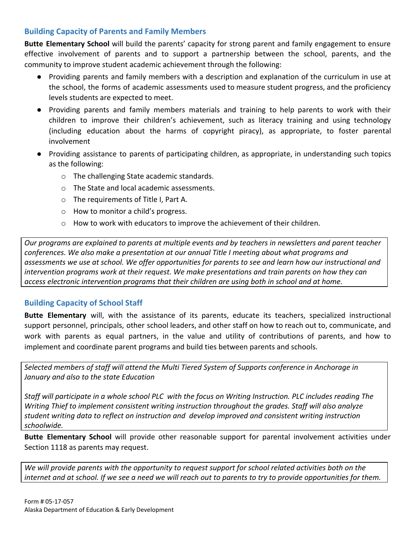### <span id="page-6-0"></span>**Building Capacity of Parents and Family Members**

**Butte Elementary School** will build the parents' capacity for strong parent and family engagement to ensure effective involvement of parents and to support a partnership between the school, parents, and the community to improve student academic achievement through the following:

- Providing parents and family members with a description and explanation of the curriculum in use at the school, the forms of academic assessments used to measure student progress, and the proficiency levels students are expected to meet.
- Providing parents and family members materials and training to help parents to work with their children to improve their children's achievement, such as literacy training and using technology (including education about the harms of copyright piracy), as appropriate, to foster parental involvement
- Providing assistance to parents of participating children, as appropriate, in understanding such topics as the following:
	- o The challenging State academic standards.
	- o The State and local academic assessments.
	- o The requirements of Title I, Part A.
	- o How to monitor a child's progress.
	- $\circ$  How to work with educators to improve the achievement of their children.

*Our programs are explained to parents at multiple events and by teachers in newsletters and parent teacher conferences. We also make a presentation at our annual Title I meeting about what programs and assessments we use at school. We offer opportunities for parents to see and learn how our instructional and intervention programs work at their request. We make presentations and train parents on how they can access electronic intervention programs that their children are using both in school and at home.*

#### <span id="page-6-1"></span>**Building Capacity of School Staff**

**Butte Elementary** will, with the assistance of its parents, educate its teachers, specialized instructional support personnel, principals, other school leaders, and other staff on how to reach out to, communicate, and work with parents as equal partners, in the value and utility of contributions of parents, and how to implement and coordinate parent programs and build ties between parents and schools.

*Selected members of staff will attend the Multi Tiered System of Supports conference in Anchorage in January and also to the state Education*

*Staff will participate in a whole school PLC with the focus on Writing Instruction. PLC includes reading The Writing Thief to implement consistent writing instruction throughout the grades. Staff will also analyze student writing data to reflect on instruction and develop improved and consistent writing instruction schoolwide.*

**Butte Elementary School** will provide other reasonable support for parental involvement activities under Section 1118 as parents may request.

*We will provide parents with the opportunity to request support for school related activities both on the internet and at school. If we see a need we will reach out to parents to try to provide opportunities for them.*